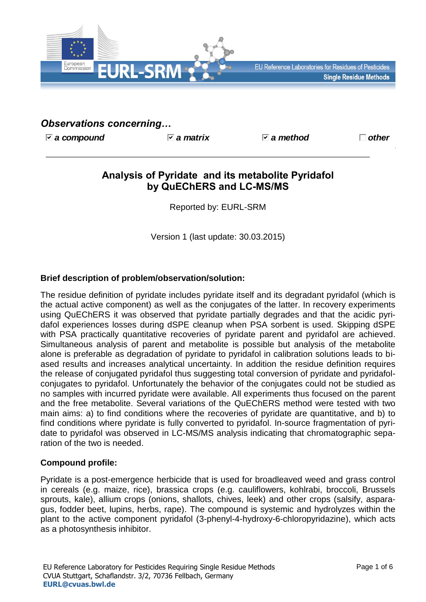

EU Reference Laboratories for Residues of Pesticides **Single Residue Methods** 

# *Observations concerning…*

*a compound a matrix a method other*

# **Analysis of Pyridate and its metabolite Pyridafol by QuEChERS and LC-MS/MS**

Reported by: EURL-SRM

Version 1 (last update: 30.03.2015)

# **Brief description of problem/observation/solution:**

The residue definition of pyridate includes pyridate itself and its degradant pyridafol (which is the actual active component) as well as the conjugates of the latter. In recovery experiments using QuEChERS it was observed that pyridate partially degrades and that the acidic pyridafol experiences losses during dSPE cleanup when PSA sorbent is used. Skipping dSPE with PSA practically quantitative recoveries of pyridate parent and pyridafol are achieved. Simultaneous analysis of parent and metabolite is possible but analysis of the metabolite alone is preferable as degradation of pyridate to pyridafol in calibration solutions leads to biased results and increases analytical uncertainty. In addition the residue definition requires the release of conjugated pyridafol thus suggesting total conversion of pyridate and pyridafolconjugates to pyridafol. Unfortunately the behavior of the conjugates could not be studied as no samples with incurred pyridate were available. All experiments thus focused on the parent and the free metabolite. Several variations of the QuEChERS method were tested with two main aims: a) to find conditions where the recoveries of pyridate are quantitative, and b) to find conditions where pyridate is fully converted to pyridafol. In-source fragmentation of pyridate to pyridafol was observed in LC-MS/MS analysis indicating that chromatographic separation of the two is needed.

## **Compound profile:**

Pyridate is a post-emergence herbicide that is used for broadleaved weed and grass control in cereals (e.g. maize, rice), brassica crops (e.g. cauliflowers, kohlrabi, broccoli, Brussels sprouts, kale), allium crops (onions, shallots, chives, leek) and other crops (salsify, asparagus, fodder beet, lupins, herbs, rape). The compound is systemic and hydrolyzes within the plant to the active component pyridafol (3-phenyl-4-hydroxy-6-chloropyridazine), which acts as a photosynthesis inhibitor.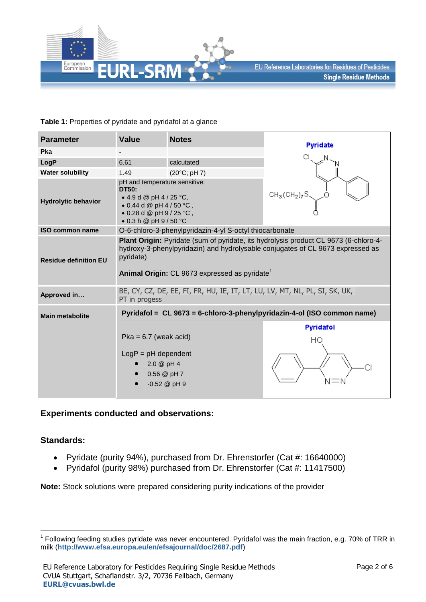

#### **Table 1:** Properties of pyridate and pyridafol at a glance

| <b>Parameter</b>             | <b>Value</b>                                                                                                                                                                                                                                     | <b>Notes</b>                                            | Pyridate                                                                |  |  |  |  |  |  |
|------------------------------|--------------------------------------------------------------------------------------------------------------------------------------------------------------------------------------------------------------------------------------------------|---------------------------------------------------------|-------------------------------------------------------------------------|--|--|--|--|--|--|
| Pka                          |                                                                                                                                                                                                                                                  |                                                         |                                                                         |  |  |  |  |  |  |
| LogP                         | 6.61<br>calcutated                                                                                                                                                                                                                               |                                                         |                                                                         |  |  |  |  |  |  |
| <b>Water solubility</b>      | 1.49                                                                                                                                                                                                                                             | $(20^{\circ}C; pH 7)$                                   |                                                                         |  |  |  |  |  |  |
| <b>Hydrolytic behavior</b>   | pH and temperature sensitive:<br><b>DT50:</b><br>• 4.9 d @ pH 4 / 25 °C,<br>• 0.44 d @ pH 4 / 50 $°C$ ,<br>$\bullet$ 0.28 d @ pH 9 / 25 °C,<br>$\bullet$ 0.3 h @ pH 9 / 50 °C                                                                    |                                                         | $CH_3(CH_2)_7S$                                                         |  |  |  |  |  |  |
| <b>ISO common name</b>       |                                                                                                                                                                                                                                                  | O-6-chloro-3-phenylpyridazin-4-yl S-octyl thiocarbonate |                                                                         |  |  |  |  |  |  |
| <b>Residue definition EU</b> | Plant Origin: Pyridate (sum of pyridate, its hydrolysis product CL 9673 (6-chloro-4-<br>hydroxy-3-phenylpyridazin) and hydrolysable conjugates of CL 9673 expressed as<br>pyridate)<br>Animal Origin: CL 9673 expressed as pyridate <sup>1</sup> |                                                         |                                                                         |  |  |  |  |  |  |
| Approved in                  | BE, CY, CZ, DE, EE, FI, FR, HU, IE, IT, LT, LU, LV, MT, NL, PL, SI, SK, UK,<br>PT in progess                                                                                                                                                     |                                                         |                                                                         |  |  |  |  |  |  |
| <b>Main metabolite</b>       |                                                                                                                                                                                                                                                  |                                                         | Pyridafol = CL 9673 = 6-chloro-3-phenylpyridazin-4-ol (ISO common name) |  |  |  |  |  |  |
|                              | $P$ ka = 6.7 (weak acid)<br>$LogP = pH dependent$<br>2.0 @ pH 4<br>$0.56 \ @pH7$<br>$-0.52$ @ pH 9                                                                                                                                               |                                                         | Pyridafol<br>HO                                                         |  |  |  |  |  |  |

## **Experiments conducted and observations:**

## **Standards:**

1

- Pyridate (purity 94%), purchased from Dr. Ehrenstorfer (Cat #: 16640000)
- Pyridafol (purity 98%) purchased from Dr. Ehrenstorfer (Cat #: 11417500)

**Note:** Stock solutions were prepared considering purity indications of the provider

<sup>1</sup> Following feeding studies pyridate was never encountered. Pyridafol was the main fraction, e.g. 70% of TRR in milk (**<http://www.efsa.europa.eu/en/efsajournal/doc/2687.pdf>**)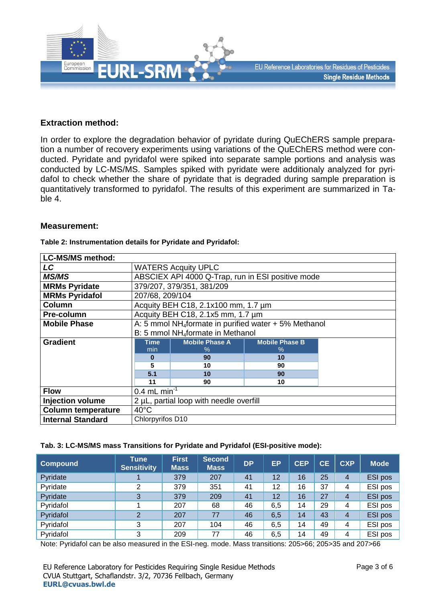

## **Extraction method:**

In order to explore the degradation behavior of pyridate during QuEChERS sample preparation a number of recovery experiments using variations of the QuEChERS method were conducted. Pyridate and pyridafol were spiked into separate sample portions and analysis was conducted by LC-MS/MS. Samples spiked with pyridate were additionaly analyzed for pyridafol to check whether the share of pyridate that is degraded during sample preparation is quantitatively transformed to pyridafol. The results of this experiment are summarized in Table 4.

#### **Measurement:**

#### **Table 2: Instrumentation details for Pyridate and Pyridafol:**

| <b>LC-MS/MS method:</b>   |                                                                   |                       |                       |  |  |  |  |  |  |  |
|---------------------------|-------------------------------------------------------------------|-----------------------|-----------------------|--|--|--|--|--|--|--|
| LC                        | <b>WATERS Acquity UPLC</b>                                        |                       |                       |  |  |  |  |  |  |  |
| <b>MS/MS</b>              | ABSCIEX API 4000 Q-Trap, run in ESI positive mode                 |                       |                       |  |  |  |  |  |  |  |
| <b>MRMs Pyridate</b>      | 379/207, 379/351, 381/209                                         |                       |                       |  |  |  |  |  |  |  |
| <b>MRMs Pyridafol</b>     | 207/68, 209/104                                                   |                       |                       |  |  |  |  |  |  |  |
| Column                    | Acquity BEH C18, 2.1x100 mm, 1.7 um                               |                       |                       |  |  |  |  |  |  |  |
| Pre-column                | Acquity BEH C18, 2.1x5 mm, 1.7 um                                 |                       |                       |  |  |  |  |  |  |  |
| <b>Mobile Phase</b>       | A: 5 mmol NH <sub>4</sub> formate in purified water + 5% Methanol |                       |                       |  |  |  |  |  |  |  |
|                           | B: 5 mmol NH <sub>4</sub> formate in Methanol                     |                       |                       |  |  |  |  |  |  |  |
| <b>Gradient</b>           | <b>Time</b>                                                       | <b>Mobile Phase A</b> | <b>Mobile Phase B</b> |  |  |  |  |  |  |  |
|                           | min                                                               | $\%$                  | $\%$                  |  |  |  |  |  |  |  |
|                           |                                                                   | 90                    | 10                    |  |  |  |  |  |  |  |
|                           |                                                                   | 10                    | 90                    |  |  |  |  |  |  |  |
|                           | 5.1                                                               | 10                    | 90                    |  |  |  |  |  |  |  |
|                           | 11                                                                | 90                    | 10                    |  |  |  |  |  |  |  |
| <b>Flow</b>               | 0.4 mL min <sup>-1</sup>                                          |                       |                       |  |  |  |  |  |  |  |
| <b>Injection volume</b>   | 2 µL, partial loop with needle overfill                           |                       |                       |  |  |  |  |  |  |  |
| <b>Column temperature</b> | $40^{\circ}$ C                                                    |                       |                       |  |  |  |  |  |  |  |
| <b>Internal Standard</b>  | Chlorpyrifos D10                                                  |                       |                       |  |  |  |  |  |  |  |

#### **Tab. 3: LC-MS/MS mass Transitions for Pyridate and Pyridafol (ESI-positive mode):**

| <b>Compound</b> | <b>Tune</b><br><b>Sensitivity</b> | <b>First</b><br><b>Mass</b> | <b>Second</b><br><b>Mass</b> | <b>DP</b>            | EP  | <b>CEP</b> | СE      |   | <b>Mode</b> |  |
|-----------------|-----------------------------------|-----------------------------|------------------------------|----------------------|-----|------------|---------|---|-------------|--|
| Pyridate        |                                   | 379                         | 207                          | 25<br>12<br>41<br>16 |     | 4          | ESI pos |   |             |  |
| Pyridate        | 2                                 | 379                         | 351                          | 41                   | 12  | 16         | 37      | 4 | ESI pos     |  |
| Pyridate        | 3                                 | 379                         | 209                          | 41                   | 12  | 16         | 27      | 4 | ESI pos     |  |
| Pyridafol       |                                   | 207                         | 68                           | 46                   | 6,5 | 14         | 29      | 4 | ESI pos     |  |
| Pyridafol       | 2                                 | 207                         | 77                           | 46                   | 6,5 | 14         | 43      | 4 | ESI pos     |  |
| Pyridafol       | 3                                 | 207                         | 104                          | 46                   | 6,5 | 14         | 49      | 4 | ESI pos     |  |
| Pyridafol       | 3                                 | 209                         | 77                           | 46                   | 6,5 | 14         | 49      | 4 | ESI pos     |  |

Note: Pyridafol can be also measured in the ESI-neg. mode. Mass transitions: 205>66; 205>35 and 207>66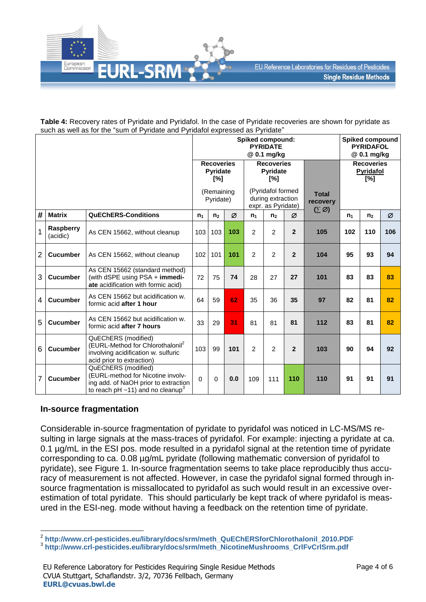

**Table 4:** Recovery rates of Pyridate and Pyridafol. In the case of Pyridate recoveries are shown for pyridate as such as well as for the "sum of Pyridate and Pyridafol expressed as Pyridate"

|                |                              | Spiked compound:<br><b>PYRIDATE</b><br>@ 0.1 mg/kg                                                                                                     |                                             |                                                              |     |                                      |                                                    |                |     | <b>Spiked compound</b><br><b>PYRIDAFOL</b><br>@ 0.1 mg/kg |                |     |
|----------------|------------------------------|--------------------------------------------------------------------------------------------------------------------------------------------------------|---------------------------------------------|--------------------------------------------------------------|-----|--------------------------------------|----------------------------------------------------|----------------|-----|-----------------------------------------------------------|----------------|-----|
|                |                              |                                                                                                                                                        | <b>Recoveries</b><br><b>Pyridate</b><br>[%] |                                                              |     | <b>Recoveries</b><br>Pyridate<br>[%] |                                                    |                |     | <b>Recoveries</b><br>Pyridafol<br>[%]                     |                |     |
|                |                              | (Remaining<br>Pyridate)                                                                                                                                |                                             | (Pyridafol formed<br>during extraction<br>expr. as Pyridate) |     |                                      | <b>Total</b><br>recovery<br>$(\Sigma \varnothing)$ |                |     |                                                           |                |     |
| #              | <b>Matrix</b>                | <b>QuEChERS-Conditions</b>                                                                                                                             | $n_1$                                       | n <sub>2</sub>                                               | Ø   | $n_1$                                | n <sub>2</sub>                                     | Ø              |     | $n_1$                                                     | n <sub>2</sub> | Ø   |
|                | <b>Raspberry</b><br>(acidic) | As CEN 15662, without cleanup                                                                                                                          | 103                                         | 103                                                          | 103 | $\overline{2}$                       | 2                                                  | $\mathbf{2}$   | 105 | 102                                                       | 110            | 106 |
| $\overline{2}$ | <b>Cucumber</b>              | As CEN 15662, without cleanup                                                                                                                          | 102                                         | 101                                                          | 101 | 2                                    | 2                                                  | $\overline{2}$ | 104 | 95                                                        | 93             | 94  |
| 3              | <b>Cucumber</b>              | As CEN 15662 (standard method)<br>(with dSPE using PSA + immedi-<br>ate acidification with formic acid)                                                | 72                                          | 75                                                           | 74  | 28                                   | 27                                                 | 27             | 101 | 83                                                        | 83             | 83  |
| 4              | <b>Cucumber</b>              | As CEN 15662 but acidification w.<br>formic acid after 1 hour                                                                                          | 64                                          | 59                                                           | 62  | 35                                   | 36                                                 | 35             | 97  | 82                                                        | 81             | 82  |
| 5              | <b>Cucumber</b>              | As CEN 15662 but acidification w.<br>formic acid after 7 hours                                                                                         | 33                                          | 29                                                           | 31  | 81                                   | 81                                                 | 81             | 112 | 83                                                        | 81             | 82  |
| 6              | <b>Cucumber</b>              | QuEChERS (modified)<br>(EURL-Method for Chlorothalonil <sup>2</sup><br>involving acidification w. sulfuric<br>acid prior to extraction)                | 103                                         | 99                                                           | 101 | $\overline{2}$                       | 2                                                  | $\mathbf{2}$   | 103 | 90                                                        | 94             | 92  |
| 7              | <b>Cucumber</b>              | QuEChERS (modified)<br>(EURL-method for Nicotine involv-<br>ing add. of NaOH prior to extraction<br>to reach pH $\sim$ 11) and no cleanup <sup>3</sup> | $\Omega$                                    | 0                                                            | 0.0 | 109                                  | 111                                                | 110            | 110 | 91                                                        | 91             | 91  |

## **In-source fragmentation**

Considerable in-source fragmentation of pyridate to pyridafol was noticed in LC-MS/MS resulting in large signals at the mass-traces of pyridafol. For example: injecting a pyridate at ca. 0.1 µg/mL in the ESI pos. mode resulted in a pyridafol signal at the retention time of pyridate corresponding to ca. 0.08 µg/mL pyridate (following mathematic conversion of pyridafol to pyridate), see Figure 1. In-source fragmentation seems to take place reproducibly thus accuracy of measurement is not affected. However, in case the pyridafol signal formed through insource fragmentation is missallocated to pyridafol as such would result in an excessive overestimation of total pyridate. This should particularly be kept track of where pyridafol is measured in the ESI-neg. mode without having a feedback on the retention time of pyridate.

 2 **[http://www.crl-pesticides.eu/library/docs/srm/meth\\_QuEChERSforChlorothalonil\\_2010.PDF](http://www.crl-pesticides.eu/library/docs/srm/meth_QuEChERSforChlorothalonil_2010.PDF)**

<sup>3</sup> **[http://www.crl-pesticides.eu/library/docs/srm/meth\\_NicotineMushrooms\\_CrlFvCrlSrm.pdf](http://www.crl-pesticides.eu/library/docs/srm/meth_NicotineMushrooms_CrlFvCrlSrm.pdf)**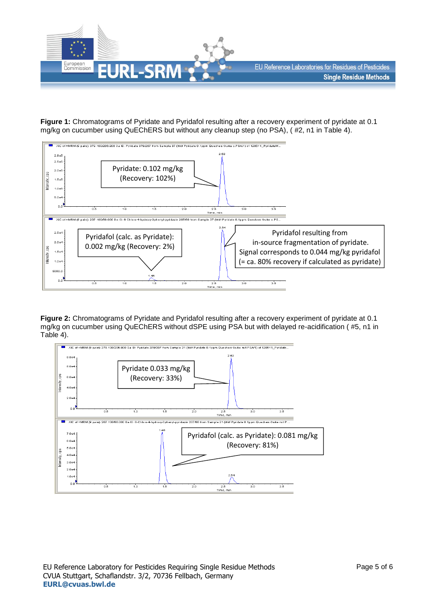

**Figure 1:** Chromatograms of Pyridate and Pyridafol resulting after a recovery experiment of pyridate at 0.1 mg/kg on cucumber using QuEChERS but without any cleanup step (no PSA), ( #2, n1 in Table 4).



**Figure 2:** Chromatograms of Pyridate and Pyridafol resulting after a recovery experiment of pyridate at 0.1 mg/kg on cucumber using QuEChERS without dSPE using PSA but with delayed re-acidification ( #5, n1 in Table 4).